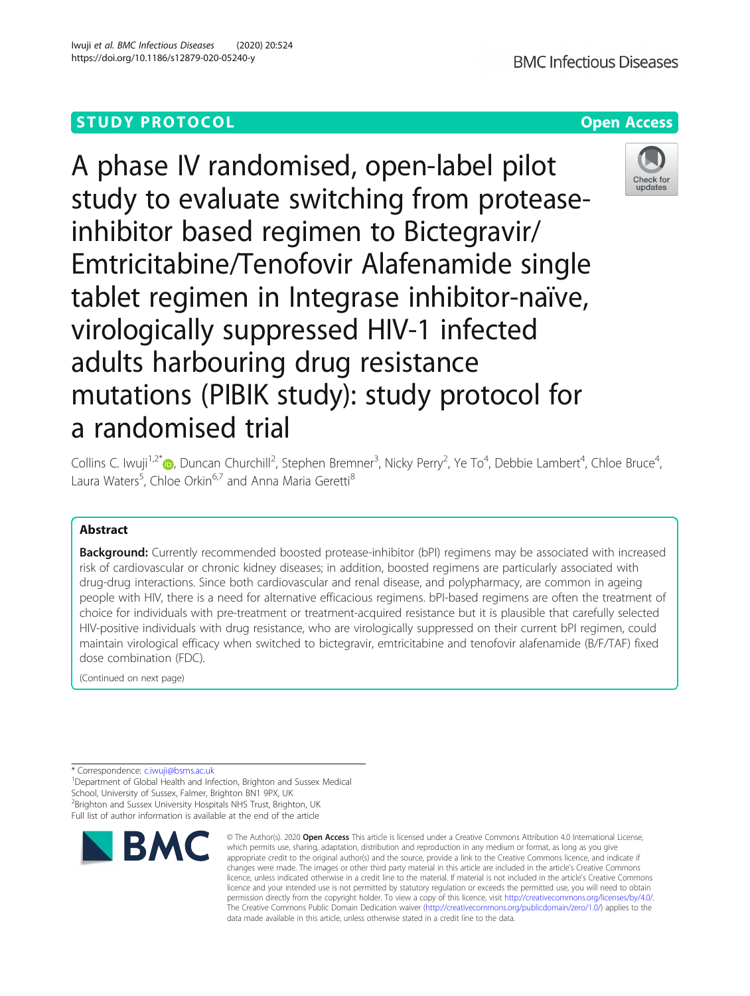# **STUDY PROTOCOL CONSUMING THE RESERVE ACCESS**



A phase IV randomised, open-label pilot study to evaluate switching from proteaseinhibitor based regimen to Bictegravir/ Emtricitabine/Tenofovir Alafenamide single tablet regimen in Integrase inhibitor-naïve, virologically suppressed HIV-1 infected adults harbouring drug resistance mutations (PIBIK study): study protocol for a randomised trial



Collins C. Iwuji<sup>1,2[\\*](http://orcid.org/0000-0003-2045-1717)</sup>®, Duncan Churchill<sup>2</sup>, Stephen Bremner<sup>3</sup>, Nicky Perry<sup>2</sup>, Ye To<sup>4</sup>, Debbie Lambert<sup>4</sup>, Chloe Bruce<sup>4</sup> , Laura Waters<sup>5</sup>, Chloe Orkin<sup>6,7</sup> and Anna Maria Geretti<sup>8</sup>

# Abstract

**Background:** Currently recommended boosted protease-inhibitor (bPI) regimens may be associated with increased risk of cardiovascular or chronic kidney diseases; in addition, boosted regimens are particularly associated with drug-drug interactions. Since both cardiovascular and renal disease, and polypharmacy, are common in ageing people with HIV, there is a need for alternative efficacious regimens. bPI-based regimens are often the treatment of choice for individuals with pre-treatment or treatment-acquired resistance but it is plausible that carefully selected HIV-positive individuals with drug resistance, who are virologically suppressed on their current bPI regimen, could maintain virological efficacy when switched to bictegravir, emtricitabine and tenofovir alafenamide (B/F/TAF) fixed dose combination (FDC).

(Continued on next page)

<sup>&</sup>lt;sup>1</sup>Department of Global Health and Infection, Brighton and Sussex Medical School, University of Sussex, Falmer, Brighton BN1 9PX, UK <sup>2</sup> Brighton and Sussex University Hospitals NHS Trust, Brighton, UK Full list of author information is available at the end of the article



<sup>©</sup> The Author(s), 2020 **Open Access** This article is licensed under a Creative Commons Attribution 4.0 International License, which permits use, sharing, adaptation, distribution and reproduction in any medium or format, as long as you give appropriate credit to the original author(s) and the source, provide a link to the Creative Commons licence, and indicate if changes were made. The images or other third party material in this article are included in the article's Creative Commons licence, unless indicated otherwise in a credit line to the material. If material is not included in the article's Creative Commons licence and your intended use is not permitted by statutory regulation or exceeds the permitted use, you will need to obtain permission directly from the copyright holder. To view a copy of this licence, visit [http://creativecommons.org/licenses/by/4.0/.](http://creativecommons.org/licenses/by/4.0/) The Creative Commons Public Domain Dedication waiver [\(http://creativecommons.org/publicdomain/zero/1.0/](http://creativecommons.org/publicdomain/zero/1.0/)) applies to the data made available in this article, unless otherwise stated in a credit line to the data.

<sup>\*</sup> Correspondence: [c.iwuji@bsms.ac.uk](mailto:c.iwuji@bsms.ac.uk) <sup>1</sup>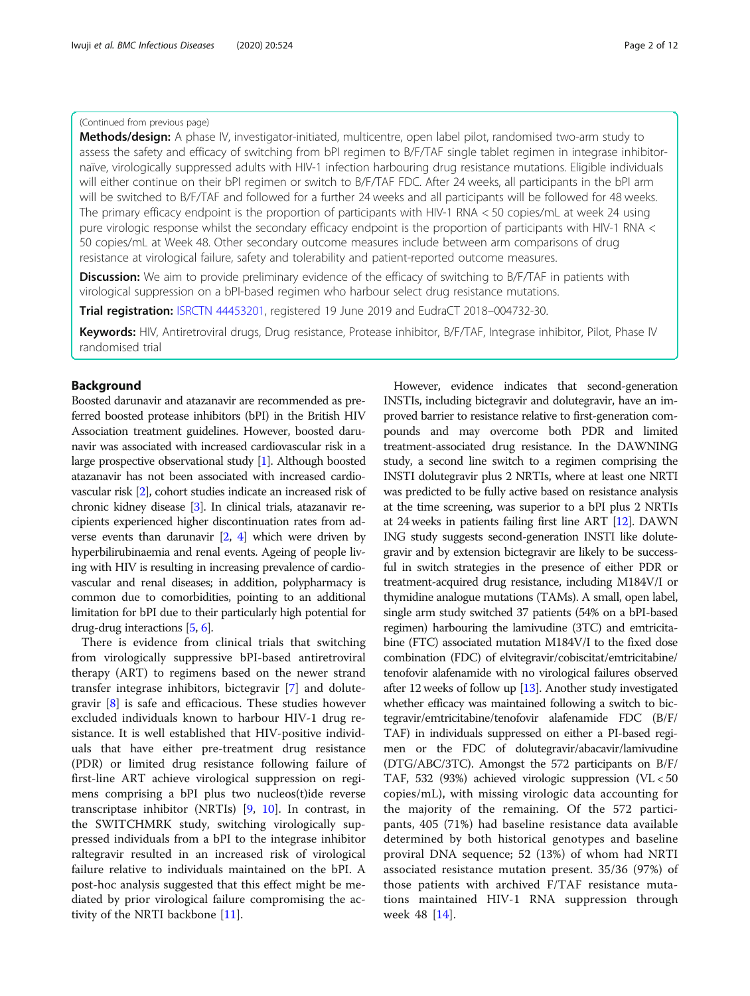## (Continued from previous page)

Methods/design: A phase IV, investigator-initiated, multicentre, open label pilot, randomised two-arm study to assess the safety and efficacy of switching from bPI regimen to B/F/TAF single tablet regimen in integrase inhibitornaïve, virologically suppressed adults with HIV-1 infection harbouring drug resistance mutations. Eligible individuals will either continue on their bPI regimen or switch to B/F/TAF FDC. After 24 weeks, all participants in the bPI arm will be switched to B/F/TAF and followed for a further 24 weeks and all participants will be followed for 48 weeks. The primary efficacy endpoint is the proportion of participants with HIV-1 RNA < 50 copies/mL at week 24 using pure virologic response whilst the secondary efficacy endpoint is the proportion of participants with HIV-1 RNA < 50 copies/mL at Week 48. Other secondary outcome measures include between arm comparisons of drug resistance at virological failure, safety and tolerability and patient-reported outcome measures.

**Discussion:** We aim to provide preliminary evidence of the efficacy of switching to B/F/TAF in patients with virological suppression on a bPI-based regimen who harbour select drug resistance mutations.

**Trial registration:** [ISRCTN 44453201](http://www.isrctn.com/search?q=44453201), registered 19 June 2019 and EudraCT 2018–004732-30.

Keywords: HIV, Antiretroviral drugs, Drug resistance, Protease inhibitor, B/F/TAF, Integrase inhibitor, Pilot, Phase IV randomised trial

# Background

Boosted darunavir and atazanavir are recommended as preferred boosted protease inhibitors (bPI) in the British HIV Association treatment guidelines. However, boosted darunavir was associated with increased cardiovascular risk in a large prospective observational study [\[1\]](#page-11-0). Although boosted atazanavir has not been associated with increased cardiovascular risk [[2](#page-11-0)], cohort studies indicate an increased risk of chronic kidney disease [\[3\]](#page-11-0). In clinical trials, atazanavir recipients experienced higher discontinuation rates from adverse events than darunavir [\[2](#page-11-0), [4](#page-11-0)] which were driven by hyperbilirubinaemia and renal events. Ageing of people living with HIV is resulting in increasing prevalence of cardiovascular and renal diseases; in addition, polypharmacy is common due to comorbidities, pointing to an additional limitation for bPI due to their particularly high potential for drug-drug interactions [\[5](#page-11-0), [6\]](#page-11-0).

There is evidence from clinical trials that switching from virologically suppressive bPI-based antiretroviral therapy (ART) to regimens based on the newer strand transfer integrase inhibitors, bictegravir [\[7](#page-11-0)] and dolutegravir [\[8](#page-11-0)] is safe and efficacious. These studies however excluded individuals known to harbour HIV-1 drug resistance. It is well established that HIV-positive individuals that have either pre-treatment drug resistance (PDR) or limited drug resistance following failure of first-line ART achieve virological suppression on regimens comprising a bPI plus two nucleos(t)ide reverse transcriptase inhibitor (NRTIs) [\[9,](#page-11-0) [10](#page-11-0)]. In contrast, in the SWITCHMRK study, switching virologically suppressed individuals from a bPI to the integrase inhibitor raltegravir resulted in an increased risk of virological failure relative to individuals maintained on the bPI. A post-hoc analysis suggested that this effect might be mediated by prior virological failure compromising the activity of the NRTI backbone [[11\]](#page-11-0).

However, evidence indicates that second-generation INSTIs, including bictegravir and dolutegravir, have an improved barrier to resistance relative to first-generation compounds and may overcome both PDR and limited treatment-associated drug resistance. In the DAWNING study, a second line switch to a regimen comprising the INSTI dolutegravir plus 2 NRTIs, where at least one NRTI was predicted to be fully active based on resistance analysis at the time screening, was superior to a bPI plus 2 NRTIs at 24 weeks in patients failing first line ART [[12](#page-11-0)]. DAWN ING study suggests second-generation INSTI like dolutegravir and by extension bictegravir are likely to be successful in switch strategies in the presence of either PDR or treatment-acquired drug resistance, including M184V/I or thymidine analogue mutations (TAMs). A small, open label, single arm study switched 37 patients (54% on a bPI-based regimen) harbouring the lamivudine (3TC) and emtricitabine (FTC) associated mutation M184V/I to the fixed dose combination (FDC) of elvitegravir/cobiscitat/emtricitabine/ tenofovir alafenamide with no virological failures observed after 12 weeks of follow up [\[13](#page-11-0)]. Another study investigated whether efficacy was maintained following a switch to bictegravir/emtricitabine/tenofovir alafenamide FDC (B/F/ TAF) in individuals suppressed on either a PI-based regimen or the FDC of dolutegravir/abacavir/lamivudine (DTG/ABC/3TC). Amongst the 572 participants on B/F/ TAF, 532 (93%) achieved virologic suppression (VL < 50 copies/mL), with missing virologic data accounting for the majority of the remaining. Of the 572 participants, 405 (71%) had baseline resistance data available determined by both historical genotypes and baseline proviral DNA sequence; 52 (13%) of whom had NRTI associated resistance mutation present. 35/36 (97%) of those patients with archived F/TAF resistance mutations maintained HIV-1 RNA suppression through week 48 [[14\]](#page-11-0).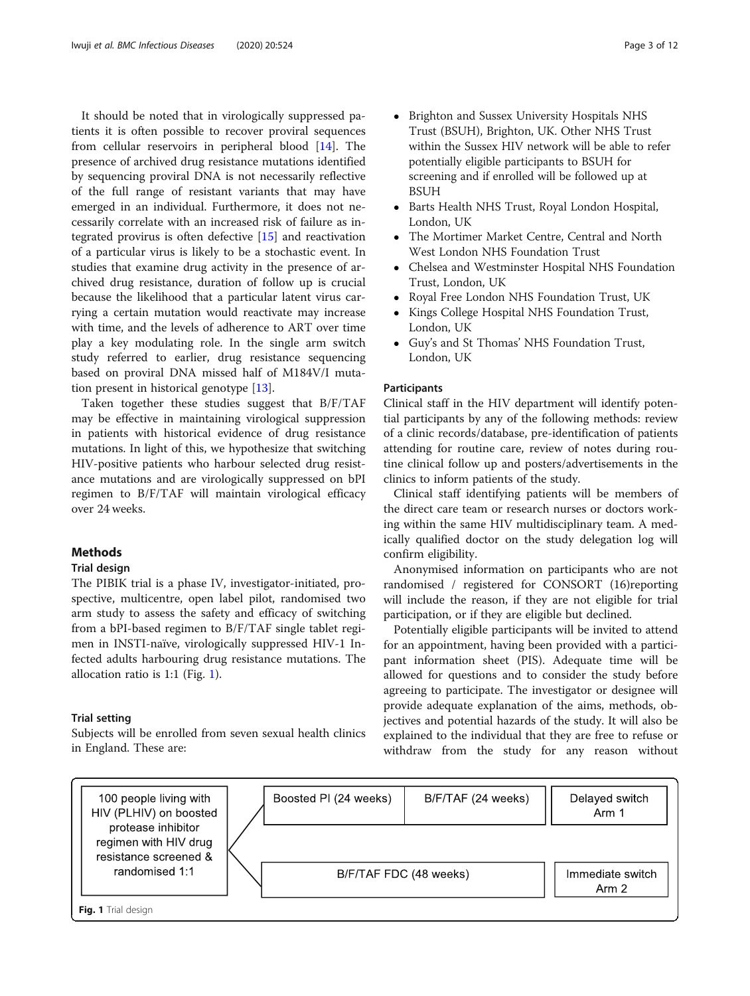<span id="page-2-0"></span>It should be noted that in virologically suppressed patients it is often possible to recover proviral sequences from cellular reservoirs in peripheral blood [[14\]](#page-11-0). The presence of archived drug resistance mutations identified by sequencing proviral DNA is not necessarily reflective of the full range of resistant variants that may have emerged in an individual. Furthermore, it does not necessarily correlate with an increased risk of failure as integrated provirus is often defective [[15\]](#page-11-0) and reactivation of a particular virus is likely to be a stochastic event. In studies that examine drug activity in the presence of archived drug resistance, duration of follow up is crucial because the likelihood that a particular latent virus carrying a certain mutation would reactivate may increase with time, and the levels of adherence to ART over time play a key modulating role. In the single arm switch study referred to earlier, drug resistance sequencing based on proviral DNA missed half of M184V/I mutation present in historical genotype [\[13\]](#page-11-0).

Taken together these studies suggest that B/F/TAF may be effective in maintaining virological suppression in patients with historical evidence of drug resistance mutations. In light of this, we hypothesize that switching HIV-positive patients who harbour selected drug resistance mutations and are virologically suppressed on bPI regimen to B/F/TAF will maintain virological efficacy over 24 weeks.

# Methods

## Trial design

The PIBIK trial is a phase IV, investigator-initiated, prospective, multicentre, open label pilot, randomised two arm study to assess the safety and efficacy of switching from a bPI-based regimen to B/F/TAF single tablet regimen in INSTI-naïve, virologically suppressed HIV-1 Infected adults harbouring drug resistance mutations. The allocation ratio is 1:1 (Fig. 1).

# Trial setting

Subjects will be enrolled from seven sexual health clinics in England. These are:

- Brighton and Sussex University Hospitals NHS Trust (BSUH), Brighton, UK. Other NHS Trust within the Sussex HIV network will be able to refer potentially eligible participants to BSUH for screening and if enrolled will be followed up at BSUH
- Barts Health NHS Trust, Royal London Hospital, London, UK
- The Mortimer Market Centre, Central and North West London NHS Foundation Trust
- Chelsea and Westminster Hospital NHS Foundation Trust, London, UK
- Royal Free London NHS Foundation Trust, UK<br>• Kings College Hospital NHS Foundation Trust.
- Kings College Hospital NHS Foundation Trust, London, UK
- Guy's and St Thomas' NHS Foundation Trust, London, UK

# **Participants**

Clinical staff in the HIV department will identify potential participants by any of the following methods: review of a clinic records/database, pre-identification of patients attending for routine care, review of notes during routine clinical follow up and posters/advertisements in the clinics to inform patients of the study.

Clinical staff identifying patients will be members of the direct care team or research nurses or doctors working within the same HIV multidisciplinary team. A medically qualified doctor on the study delegation log will confirm eligibility.

Anonymised information on participants who are not randomised / registered for CONSORT (16)reporting will include the reason, if they are not eligible for trial participation, or if they are eligible but declined.

Potentially eligible participants will be invited to attend for an appointment, having been provided with a participant information sheet (PIS). Adequate time will be allowed for questions and to consider the study before agreeing to participate. The investigator or designee will provide adequate explanation of the aims, methods, objectives and potential hazards of the study. It will also be explained to the individual that they are free to refuse or withdraw from the study for any reason without

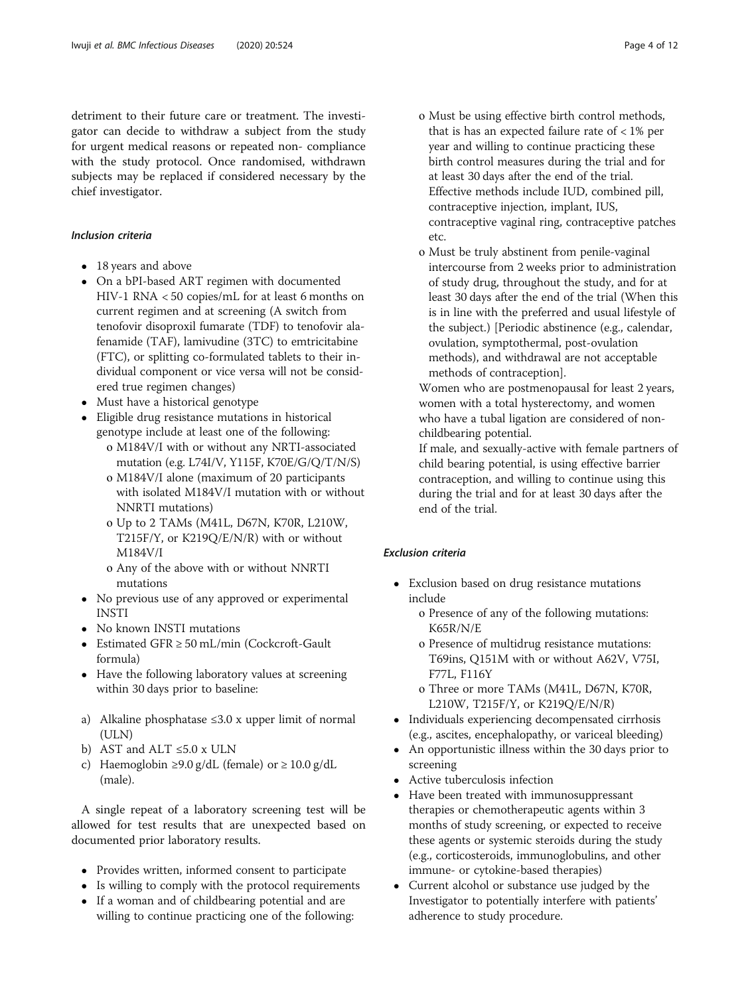detriment to their future care or treatment. The investigator can decide to withdraw a subject from the study for urgent medical reasons or repeated non- compliance with the study protocol. Once randomised, withdrawn subjects may be replaced if considered necessary by the chief investigator.

# Inclusion criteria

- 18 years and above
- On a bPI-based ART regimen with documented HIV-1 RNA < 50 copies/mL for at least 6 months on current regimen and at screening (A switch from tenofovir disoproxil fumarate (TDF) to tenofovir alafenamide (TAF), lamivudine (3TC) to emtricitabine (FTC), or splitting co-formulated tablets to their individual component or vice versa will not be considered true regimen changes)
- Must have a historical genotype
- Eligible drug resistance mutations in historical genotype include at least one of the following:
	- o M184V/I with or without any NRTI-associated mutation (e.g. L74I/V, Y115F, K70E/G/Q/T/N/S)
	- o M184V/I alone (maximum of 20 participants with isolated M184V/I mutation with or without NNRTI mutations)
	- o Up to 2 TAMs (M41L, D67N, K70R, L210W, T215F/Y, or K219Q/E/N/R) with or without M184V/I
	- o Any of the above with or without NNRTI mutations
- No previous use of any approved or experimental INSTI
- No known INSTI mutations
- Estimated GFR ≥ 50 mL/min (Cockcroft-Gault formula)
- Have the following laboratory values at screening within 30 days prior to baseline:
- a) Alkaline phosphatase ≤3.0 x upper limit of normal  $(III.N)$
- b) AST and ALT ≤5.0 x ULN
- c) Haemoglobin  $\geq$ 9.0 g/dL (female) or  $\geq$  10.0 g/dL (male).

A single repeat of a laboratory screening test will be allowed for test results that are unexpected based on documented prior laboratory results.

- Provides written, informed consent to participate
- Is willing to comply with the protocol requirements
- If a woman and of childbearing potential and are willing to continue practicing one of the following:
- 
- o Must be using effective birth control methods, that is has an expected failure rate of  $< 1\%$  per year and willing to continue practicing these birth control measures during the trial and for at least 30 days after the end of the trial. Effective methods include IUD, combined pill, contraceptive injection, implant, IUS, contraceptive vaginal ring, contraceptive patches etc.
- o Must be truly abstinent from penile-vaginal intercourse from 2 weeks prior to administration of study drug, throughout the study, and for at least 30 days after the end of the trial (When this is in line with the preferred and usual lifestyle of the subject.) [Periodic abstinence (e.g., calendar, ovulation, symptothermal, post-ovulation methods), and withdrawal are not acceptable methods of contraception].

Women who are postmenopausal for least 2 years, women with a total hysterectomy, and women who have a tubal ligation are considered of nonchildbearing potential.

If male, and sexually-active with female partners of child bearing potential, is using effective barrier contraception, and willing to continue using this during the trial and for at least 30 days after the end of the trial.

# Exclusion criteria

- Exclusion based on drug resistance mutations include
	- o Presence of any of the following mutations: K65R/N/E
	- o Presence of multidrug resistance mutations: T69ins, Q151M with or without A62V, V75I, F77L, F116Y
	- o Three or more TAMs (M41L, D67N, K70R, L210W, T215F/Y, or K219Q/E/N/R)
- Individuals experiencing decompensated cirrhosis (e.g., ascites, encephalopathy, or variceal bleeding)
- An opportunistic illness within the 30 days prior to screening
- Active tuberculosis infection
- Have been treated with immunosuppressant therapies or chemotherapeutic agents within 3 months of study screening, or expected to receive these agents or systemic steroids during the study (e.g., corticosteroids, immunoglobulins, and other immune- or cytokine-based therapies)
- Current alcohol or substance use judged by the Investigator to potentially interfere with patients' adherence to study procedure.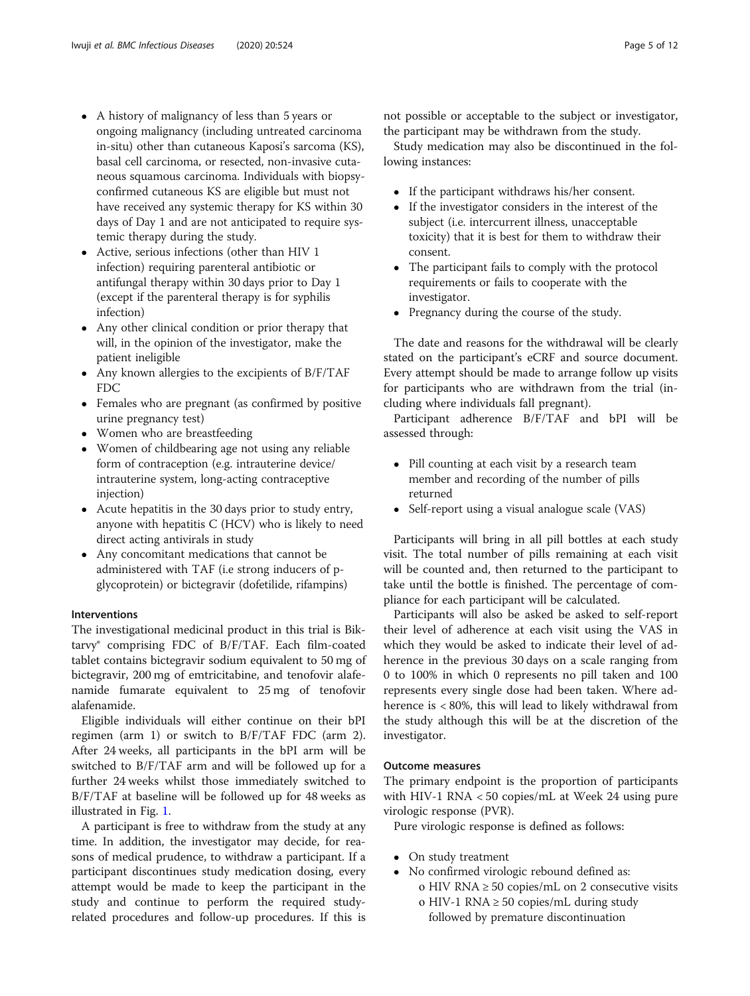- A history of malignancy of less than 5 years or ongoing malignancy (including untreated carcinoma in-situ) other than cutaneous Kaposi's sarcoma (KS), basal cell carcinoma, or resected, non-invasive cutaneous squamous carcinoma. Individuals with biopsyconfirmed cutaneous KS are eligible but must not have received any systemic therapy for KS within 30 days of Day 1 and are not anticipated to require systemic therapy during the study.
- Active, serious infections (other than HIV 1 infection) requiring parenteral antibiotic or antifungal therapy within 30 days prior to Day 1 (except if the parenteral therapy is for syphilis infection)
- Any other clinical condition or prior therapy that will, in the opinion of the investigator, make the patient ineligible
- Any known allergies to the excipients of B/F/TAF FDC
- Females who are pregnant (as confirmed by positive urine pregnancy test)
- Women who are breastfeeding
- Women of childbearing age not using any reliable form of contraception (e.g. intrauterine device/ intrauterine system, long-acting contraceptive injection)
- Acute hepatitis in the 30 days prior to study entry, anyone with hepatitis C (HCV) who is likely to need direct acting antivirals in study
- Any concomitant medications that cannot be administered with TAF (i.e strong inducers of pglycoprotein) or bictegravir (dofetilide, rifampins)

## Interventions

The investigational medicinal product in this trial is Biktarvy® comprising FDC of B/F/TAF. Each film-coated tablet contains bictegravir sodium equivalent to 50 mg of bictegravir, 200 mg of emtricitabine, and tenofovir alafenamide fumarate equivalent to 25 mg of tenofovir alafenamide.

Eligible individuals will either continue on their bPI regimen (arm 1) or switch to B/F/TAF FDC (arm 2). After 24 weeks, all participants in the bPI arm will be switched to B/F/TAF arm and will be followed up for a further 24 weeks whilst those immediately switched to B/F/TAF at baseline will be followed up for 48 weeks as illustrated in Fig. [1.](#page-2-0)

A participant is free to withdraw from the study at any time. In addition, the investigator may decide, for reasons of medical prudence, to withdraw a participant. If a participant discontinues study medication dosing, every attempt would be made to keep the participant in the study and continue to perform the required studyrelated procedures and follow-up procedures. If this is not possible or acceptable to the subject or investigator, the participant may be withdrawn from the study.

Study medication may also be discontinued in the following instances:

- If the participant withdraws his/her consent.
- If the investigator considers in the interest of the subject (i.e. intercurrent illness, unacceptable toxicity) that it is best for them to withdraw their consent.
- The participant fails to comply with the protocol requirements or fails to cooperate with the investigator.
- Pregnancy during the course of the study.

The date and reasons for the withdrawal will be clearly stated on the participant's eCRF and source document. Every attempt should be made to arrange follow up visits for participants who are withdrawn from the trial (including where individuals fall pregnant).

Participant adherence B/F/TAF and bPI will be assessed through:

- Pill counting at each visit by a research team member and recording of the number of pills returned
- Self-report using a visual analogue scale (VAS)

Participants will bring in all pill bottles at each study visit. The total number of pills remaining at each visit will be counted and, then returned to the participant to take until the bottle is finished. The percentage of compliance for each participant will be calculated.

Participants will also be asked be asked to self-report their level of adherence at each visit using the VAS in which they would be asked to indicate their level of adherence in the previous 30 days on a scale ranging from 0 to 100% in which 0 represents no pill taken and 100 represents every single dose had been taken. Where adherence is < 80%, this will lead to likely withdrawal from the study although this will be at the discretion of the investigator.

## Outcome measures

The primary endpoint is the proportion of participants with HIV-1 RNA < 50 copies/mL at Week 24 using pure virologic response (PVR).

Pure virologic response is defined as follows:

- On study treatment
- No confirmed virologic rebound defined as:
	- o HIV RNA  $\geq$  50 copies/mL on 2 consecutive visits o HIV-1 RNA ≥ 50 copies/mL during study followed by premature discontinuation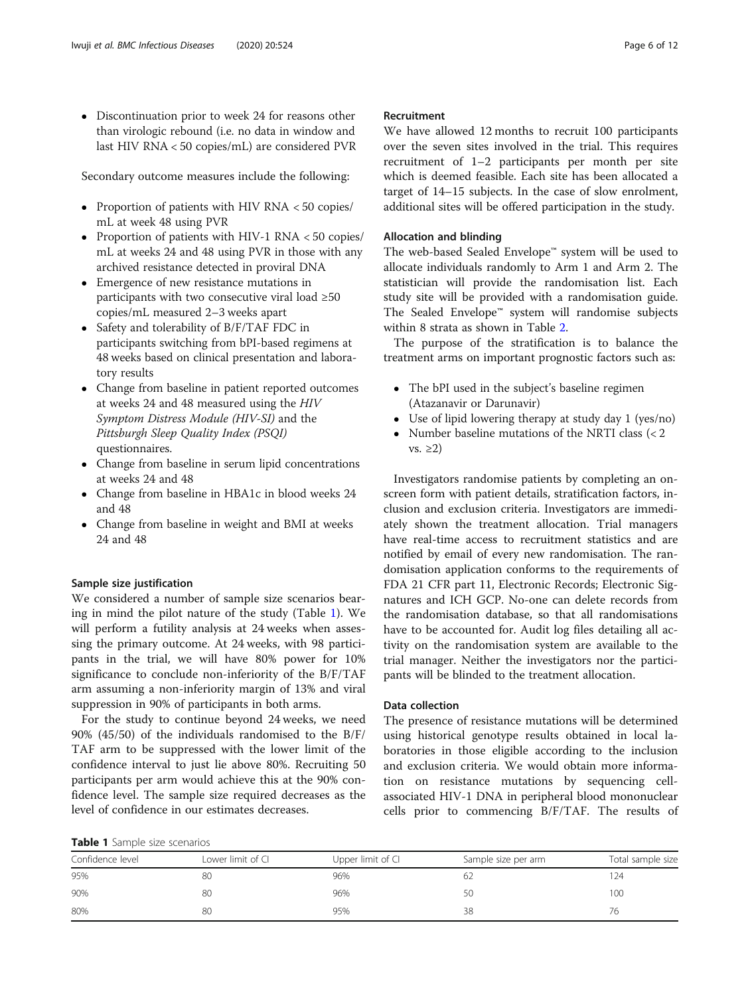Discontinuation prior to week 24 for reasons other than virologic rebound (i.e. no data in window and last HIV RNA < 50 copies/mL) are considered PVR

Secondary outcome measures include the following:

- Proportion of patients with HIV RNA < 50 copies/ mL at week 48 using PVR
- Proportion of patients with HIV-1 RNA < 50 copies/ mL at weeks 24 and 48 using PVR in those with any archived resistance detected in proviral DNA
- Emergence of new resistance mutations in participants with two consecutive viral load  $\geq 50$ copies/mL measured 2–3 weeks apart
- Safety and tolerability of B/F/TAF FDC in participants switching from bPI-based regimens at 48 weeks based on clinical presentation and laboratory results
- Change from baseline in patient reported outcomes at weeks 24 and 48 measured using the HIV Symptom Distress Module (HIV-SI) and the Pittsburgh Sleep Quality Index (PSQI) questionnaires.
- Change from baseline in serum lipid concentrations at weeks 24 and 48
- Change from baseline in HBA1c in blood weeks 24 and 48
- Change from baseline in weight and BMI at weeks 24 and 48

# Sample size justification

We considered a number of sample size scenarios bearing in mind the pilot nature of the study (Table 1). We will perform a futility analysis at 24 weeks when assessing the primary outcome. At 24 weeks, with 98 participants in the trial, we will have 80% power for 10% significance to conclude non-inferiority of the B/F/TAF arm assuming a non-inferiority margin of 13% and viral suppression in 90% of participants in both arms.

For the study to continue beyond 24 weeks, we need 90% (45/50) of the individuals randomised to the B/F/ TAF arm to be suppressed with the lower limit of the confidence interval to just lie above 80%. Recruiting 50 participants per arm would achieve this at the 90% confidence level. The sample size required decreases as the level of confidence in our estimates decreases.

# Table 1 Sample size scenarios

We have allowed 12 months to recruit 100 participants over the seven sites involved in the trial. This requires recruitment of 1–2 participants per month per site which is deemed feasible. Each site has been allocated a target of 14–15 subjects. In the case of slow enrolment, additional sites will be offered participation in the study.

# Allocation and blinding

The web-based Sealed Envelope™ system will be used to allocate individuals randomly to Arm 1 and Arm 2. The statistician will provide the randomisation list. Each study site will be provided with a randomisation guide. The Sealed Envelope™ system will randomise subjects within 8 strata as shown in Table [2](#page-6-0).

The purpose of the stratification is to balance the treatment arms on important prognostic factors such as:

- The bPI used in the subject's baseline regimen (Atazanavir or Darunavir)
- Use of lipid lowering therapy at study day 1 (yes/no)
- Number baseline mutations of the NRTI class (< 2 vs.  $\geq$ 2)

Investigators randomise patients by completing an onscreen form with patient details, stratification factors, inclusion and exclusion criteria. Investigators are immediately shown the treatment allocation. Trial managers have real-time access to recruitment statistics and are notified by email of every new randomisation. The randomisation application conforms to the requirements of FDA 21 CFR part 11, Electronic Records; Electronic Signatures and ICH GCP. No-one can delete records from the randomisation database, so that all randomisations have to be accounted for. Audit log files detailing all activity on the randomisation system are available to the trial manager. Neither the investigators nor the participants will be blinded to the treatment allocation.

# Data collection

The presence of resistance mutations will be determined using historical genotype results obtained in local laboratories in those eligible according to the inclusion and exclusion criteria. We would obtain more information on resistance mutations by sequencing cellassociated HIV-1 DNA in peripheral blood mononuclear cells prior to commencing B/F/TAF. The results of

| Confidence level | Lower limit of Cl | Upper limit of CI | Sample size per arm | Total sample size |
|------------------|-------------------|-------------------|---------------------|-------------------|
| 95%              | 80                | 96%               | Ю∠                  | 24                |
| 90%              | 80                | 96%               | 50                  | 100               |
| 80%              | 80                | 95%               | 38                  | 76                |
|                  |                   |                   |                     |                   |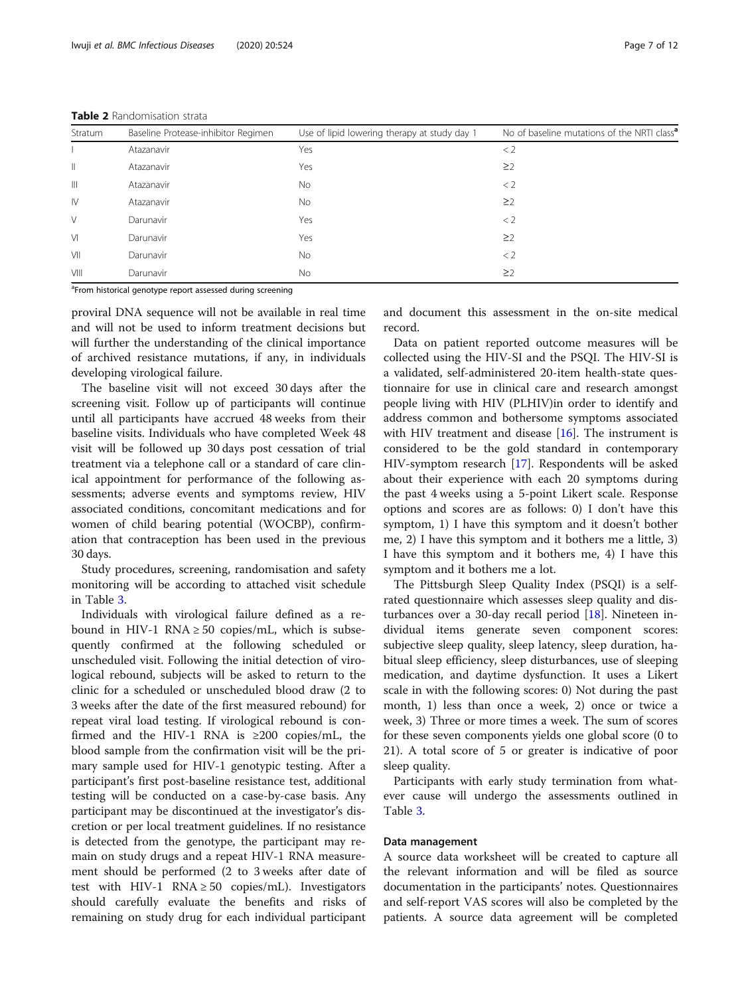| Stratum                               | Baseline Protease-inhibitor Regimen | Use of lipid lowering therapy at study day 1 | No of baseline mutations of the NRTI class <sup>a</sup> |  |  |
|---------------------------------------|-------------------------------------|----------------------------------------------|---------------------------------------------------------|--|--|
|                                       | Atazanavir                          | Yes                                          | < 2                                                     |  |  |
| $\begin{array}{c} \hline \end{array}$ | Atazanavir                          | Yes                                          | $\geq$ 2                                                |  |  |
| $\mathbb{H}$                          | Atazanavir                          | <b>No</b>                                    | < 2                                                     |  |  |
| $\mathsf{IV}$                         | Atazanavir                          | No                                           | $\geq$ 2                                                |  |  |
| V                                     | Darunavir                           | Yes                                          | < 2                                                     |  |  |
| V <sub>1</sub>                        | Darunavir                           | Yes                                          | $\geq$ 2                                                |  |  |
| VII                                   | Darunavir                           | <b>No</b>                                    | $\lt 2$                                                 |  |  |
| VIII                                  | Darunavir                           | No                                           | $\geq$ 2                                                |  |  |

<span id="page-6-0"></span>Table 2 Randomisation strata

<sup>a</sup>From historical genotype report assessed during screening

proviral DNA sequence will not be available in real time and will not be used to inform treatment decisions but will further the understanding of the clinical importance of archived resistance mutations, if any, in individuals developing virological failure.

The baseline visit will not exceed 30 days after the screening visit. Follow up of participants will continue until all participants have accrued 48 weeks from their baseline visits. Individuals who have completed Week 48 visit will be followed up 30 days post cessation of trial treatment via a telephone call or a standard of care clinical appointment for performance of the following assessments; adverse events and symptoms review, HIV associated conditions, concomitant medications and for women of child bearing potential (WOCBP), confirmation that contraception has been used in the previous 30 days.

Study procedures, screening, randomisation and safety monitoring will be according to attached visit schedule in Table [3](#page-7-0).

Individuals with virological failure defined as a rebound in HIV-1 RNA  $\geq$  50 copies/mL, which is subsequently confirmed at the following scheduled or unscheduled visit. Following the initial detection of virological rebound, subjects will be asked to return to the clinic for a scheduled or unscheduled blood draw (2 to 3 weeks after the date of the first measured rebound) for repeat viral load testing. If virological rebound is confirmed and the HIV-1 RNA is ≥200 copies/mL, the blood sample from the confirmation visit will be the primary sample used for HIV-1 genotypic testing. After a participant's first post-baseline resistance test, additional testing will be conducted on a case-by-case basis. Any participant may be discontinued at the investigator's discretion or per local treatment guidelines. If no resistance is detected from the genotype, the participant may remain on study drugs and a repeat HIV-1 RNA measurement should be performed (2 to 3 weeks after date of test with HIV-1 RNA  $\geq$  50 copies/mL). Investigators should carefully evaluate the benefits and risks of remaining on study drug for each individual participant and document this assessment in the on-site medical record.

Data on patient reported outcome measures will be collected using the HIV-SI and the PSQI. The HIV-SI is a validated, self-administered 20-item health-state questionnaire for use in clinical care and research amongst people living with HIV (PLHIV)in order to identify and address common and bothersome symptoms associated with HIV treatment and disease [[16\]](#page-11-0). The instrument is considered to be the gold standard in contemporary HIV-symptom research [\[17\]](#page-11-0). Respondents will be asked about their experience with each 20 symptoms during the past 4 weeks using a 5-point Likert scale. Response options and scores are as follows: 0) I don't have this symptom, 1) I have this symptom and it doesn't bother me, 2) I have this symptom and it bothers me a little, 3) I have this symptom and it bothers me, 4) I have this symptom and it bothers me a lot.

The Pittsburgh Sleep Quality Index (PSQI) is a selfrated questionnaire which assesses sleep quality and disturbances over a 30-day recall period [\[18](#page-11-0)]. Nineteen individual items generate seven component scores: subjective sleep quality, sleep latency, sleep duration, habitual sleep efficiency, sleep disturbances, use of sleeping medication, and daytime dysfunction. It uses a Likert scale in with the following scores: 0) Not during the past month, 1) less than once a week, 2) once or twice a week, 3) Three or more times a week. The sum of scores for these seven components yields one global score (0 to 21). A total score of 5 or greater is indicative of poor sleep quality.

Participants with early study termination from whatever cause will undergo the assessments outlined in Table [3.](#page-7-0)

## Data management

A source data worksheet will be created to capture all the relevant information and will be filed as source documentation in the participants' notes. Questionnaires and self-report VAS scores will also be completed by the patients. A source data agreement will be completed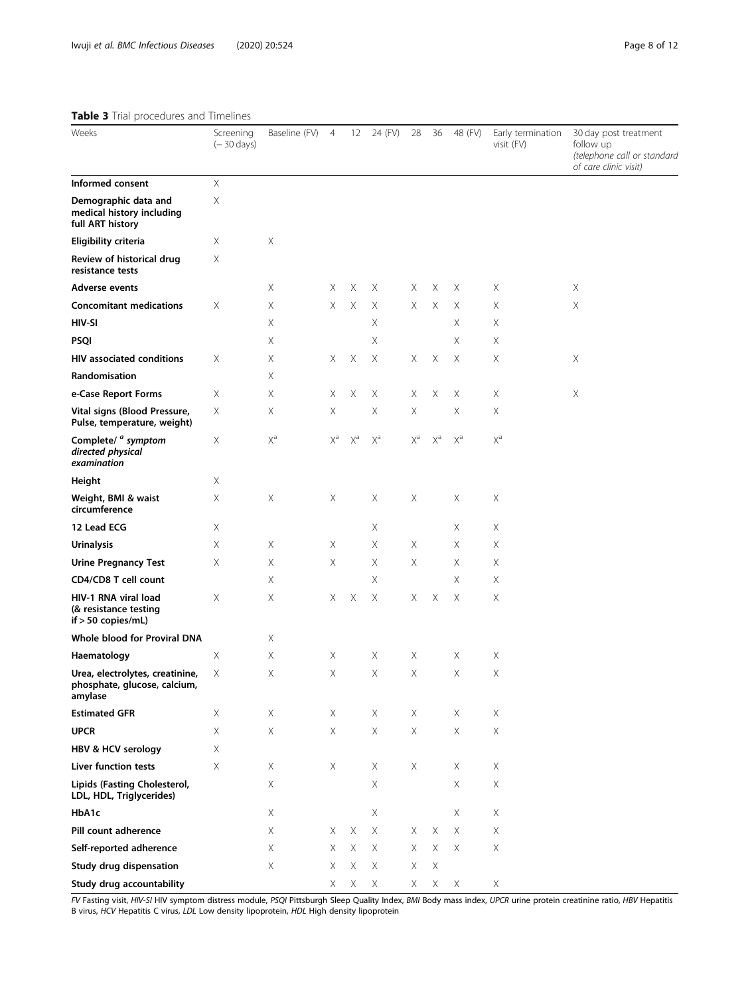# <span id="page-7-0"></span>Table 3 Trial procedures and Timelines

| Weeks                                                                      | Screening<br>$(-30 \text{ days})$ | Baseline (FV)         | $\overline{4}$        | 12                    | 24 (FV)               | 28                    | 36                    | 48 (FV) | Early termination<br>visit (FV) | 30 day post treatment<br>follow up<br>(telephone call or standara<br>of care clinic visit) |
|----------------------------------------------------------------------------|-----------------------------------|-----------------------|-----------------------|-----------------------|-----------------------|-----------------------|-----------------------|---------|---------------------------------|--------------------------------------------------------------------------------------------|
| Informed consent                                                           | $\mathsf X$                       |                       |                       |                       |                       |                       |                       |         |                                 |                                                                                            |
| Demographic data and<br>medical history including<br>full ART history      | Χ                                 |                       |                       |                       |                       |                       |                       |         |                                 |                                                                                            |
| Eligibility criteria                                                       | Χ                                 | Χ                     |                       |                       |                       |                       |                       |         |                                 |                                                                                            |
| Review of historical drug<br>resistance tests                              | Χ                                 |                       |                       |                       |                       |                       |                       |         |                                 |                                                                                            |
| <b>Adverse events</b>                                                      |                                   | Χ                     | Χ                     | Χ                     | Χ                     | Χ                     | Χ                     | Χ       | X                               | X                                                                                          |
| <b>Concomitant medications</b>                                             | Χ                                 | Χ                     | Χ                     | Χ                     | Χ                     | Χ                     | Χ                     | Χ       | Χ                               | $\mathsf X$                                                                                |
| HIV-SI                                                                     |                                   | Χ                     |                       |                       | Χ                     |                       |                       | Χ       | Χ                               |                                                                                            |
| <b>PSQI</b>                                                                |                                   | Χ                     |                       |                       | Χ                     |                       |                       | Χ       | Χ                               |                                                                                            |
| <b>HIV associated conditions</b>                                           | Χ                                 | Χ                     | Χ                     | Χ                     | Χ                     | Χ                     | Χ                     | Χ       | Χ                               | X                                                                                          |
| Randomisation                                                              |                                   | Χ                     |                       |                       |                       |                       |                       |         |                                 |                                                                                            |
| e-Case Report Forms                                                        | Χ                                 | Χ                     | Χ                     | $\times$              | Χ                     | Χ                     | X                     | Χ       | X                               | $\mathsf X$                                                                                |
| Vital signs (Blood Pressure,<br>Pulse, temperature, weight)                | Χ                                 | Χ                     | Χ                     |                       | Χ                     | X                     |                       | Χ       | Χ                               |                                                                                            |
| Complete/ <sup><i>a</i></sup> symptom<br>directed physical<br>examination  | X                                 | $\mathsf{X}^\text{a}$ | $\mathsf{X}^\text{a}$ | $\mathsf{X}^\text{a}$ | $\mathsf{X}^\text{a}$ | $\mathsf{X}^\text{a}$ | $\mathsf{X}^\text{a}$ | $X^a$   | $\mathsf{X}^\text{a}$           |                                                                                            |
| Height                                                                     | Χ                                 |                       |                       |                       |                       |                       |                       |         |                                 |                                                                                            |
| Weight, BMI & waist<br>circumference                                       | Χ                                 | Χ                     | Χ                     |                       | Χ                     | X                     |                       | Χ       | Χ                               |                                                                                            |
| 12 Lead ECG                                                                | Χ                                 |                       |                       |                       | Χ                     |                       |                       | Χ       | Χ                               |                                                                                            |
| <b>Urinalysis</b>                                                          | Χ                                 | Χ                     | X                     |                       | Χ                     | Χ                     |                       | Χ       | X                               |                                                                                            |
| <b>Urine Pregnancy Test</b>                                                | Χ                                 | Χ                     | Χ                     |                       | Χ                     | X                     |                       | Χ       | Χ                               |                                                                                            |
| CD4/CD8 T cell count                                                       |                                   | Χ                     |                       |                       | X                     |                       |                       | Χ       | Χ                               |                                                                                            |
| HIV-1 RNA viral load<br>(& resistance testing<br>if $> 50$ copies/mL)      | Χ                                 | $\mathsf X$           | X.                    | Χ                     | Χ                     | X                     | Χ                     | Χ       | X                               |                                                                                            |
| Whole blood for Proviral DNA                                               |                                   | Χ                     |                       |                       |                       |                       |                       |         |                                 |                                                                                            |
| Haematology                                                                | Χ                                 | Χ                     | Χ                     |                       | Χ                     | X                     |                       | Χ       | X                               |                                                                                            |
| Urea, electrolytes, creatinine,<br>phosphate, glucose, calcium,<br>amylase | Χ                                 | $\mathsf X$           | $\mathsf X$           |                       | $\mathsf X$           | $\mathsf X$           |                       | Χ       | Χ                               |                                                                                            |
| <b>Estimated GFR</b>                                                       | Χ                                 | X                     | Χ                     |                       | Χ                     | Χ                     |                       | Χ       | X                               |                                                                                            |
| <b>UPCR</b>                                                                | Χ                                 | $\times$              | $\times$              |                       | $\times$              | $\mathsf X$           |                       | Χ       | Χ                               |                                                                                            |
| HBV & HCV serology                                                         | X                                 |                       |                       |                       |                       |                       |                       |         |                                 |                                                                                            |
| <b>Liver function tests</b>                                                | Χ                                 | X                     | X                     |                       | Χ                     | X                     |                       | Χ       | X                               |                                                                                            |
| Lipids (Fasting Cholesterol,<br>LDL, HDL, Triglycerides)                   |                                   | Χ                     |                       |                       | Χ                     |                       |                       | Χ       | X                               |                                                                                            |
| HbA1c                                                                      |                                   | X                     |                       |                       | X                     |                       |                       | Χ       | X                               |                                                                                            |
| Pill count adherence                                                       |                                   | Χ                     | Χ                     | Χ                     | Χ                     | Χ                     | Χ                     | Χ       | X.                              |                                                                                            |
| Self-reported adherence                                                    |                                   | X                     | $\times$              | $\times$              | Χ                     | Χ                     | $\times$              | Χ       | X                               |                                                                                            |
| Study drug dispensation                                                    |                                   | X                     | X                     | $\times$              | Χ                     | X                     | X                     |         |                                 |                                                                                            |
| Study drug accountability                                                  |                                   |                       | X.                    | X                     | Χ                     | X                     | X.                    | Χ       | X                               |                                                                                            |

FV Fasting visit, HIV-SI HIV symptom distress module, PSQI Pittsburgh Sleep Quality Index, BMI Body mass index, UPCR urine protein creatinine ratio, HBV Hepatitis B virus, HCV Hepatitis C virus, LDL Low density lipoprotein, HDL High density lipoprotein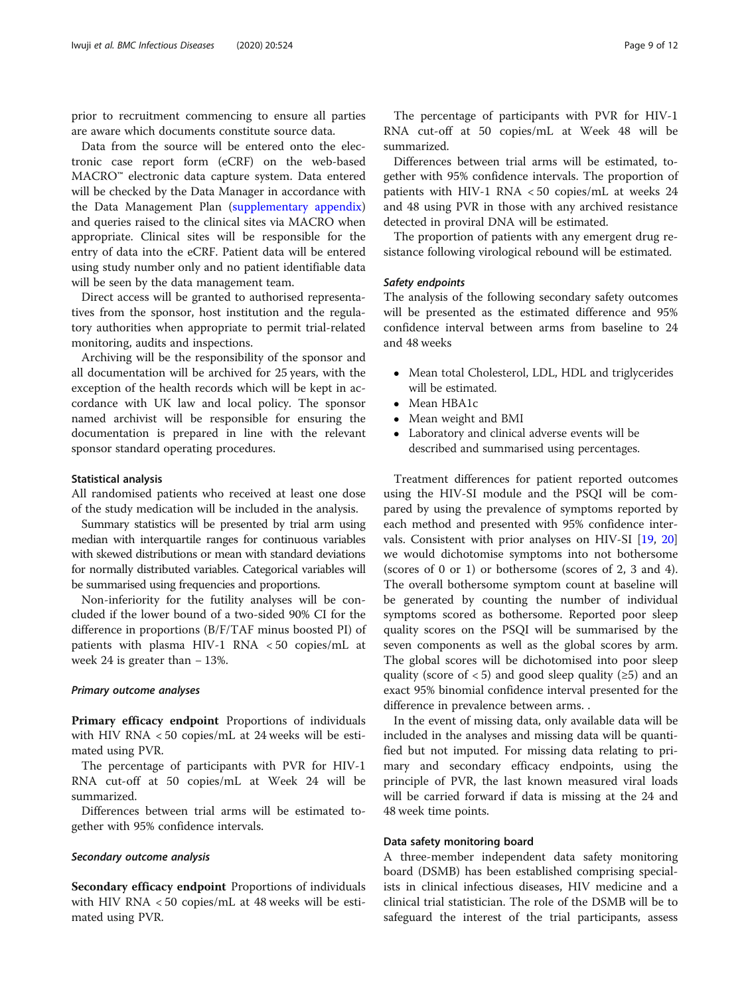prior to recruitment commencing to ensure all parties are aware which documents constitute source data.

Data from the source will be entered onto the electronic case report form (eCRF) on the web-based MACRO™ electronic data capture system. Data entered will be checked by the Data Manager in accordance with the Data Management Plan ([supplementary appendix](#page-10-0)) and queries raised to the clinical sites via MACRO when appropriate. Clinical sites will be responsible for the entry of data into the eCRF. Patient data will be entered using study number only and no patient identifiable data will be seen by the data management team.

Direct access will be granted to authorised representatives from the sponsor, host institution and the regulatory authorities when appropriate to permit trial-related monitoring, audits and inspections.

Archiving will be the responsibility of the sponsor and all documentation will be archived for 25 years, with the exception of the health records which will be kept in accordance with UK law and local policy. The sponsor named archivist will be responsible for ensuring the documentation is prepared in line with the relevant sponsor standard operating procedures.

#### Statistical analysis

All randomised patients who received at least one dose of the study medication will be included in the analysis.

Summary statistics will be presented by trial arm using median with interquartile ranges for continuous variables with skewed distributions or mean with standard deviations for normally distributed variables. Categorical variables will be summarised using frequencies and proportions.

Non-inferiority for the futility analyses will be concluded if the lower bound of a two-sided 90% CI for the difference in proportions (B/F/TAF minus boosted PI) of patients with plasma HIV-1 RNA < 50 copies/mL at week 24 is greater than − 13%.

### Primary outcome analyses

Primary efficacy endpoint Proportions of individuals with HIV RNA < 50 copies/mL at 24 weeks will be estimated using PVR.

The percentage of participants with PVR for HIV-1 RNA cut-off at 50 copies/mL at Week 24 will be summarized.

Differences between trial arms will be estimated together with 95% confidence intervals.

# Secondary outcome analysis

Secondary efficacy endpoint Proportions of individuals with HIV RNA < 50 copies/mL at 48 weeks will be estimated using PVR.

The percentage of participants with PVR for HIV-1 RNA cut-off at 50 copies/mL at Week 48 will be summarized.

Differences between trial arms will be estimated, together with 95% confidence intervals. The proportion of patients with HIV-1 RNA < 50 copies/mL at weeks 24 and 48 using PVR in those with any archived resistance detected in proviral DNA will be estimated.

The proportion of patients with any emergent drug resistance following virological rebound will be estimated.

## Safety endpoints

The analysis of the following secondary safety outcomes will be presented as the estimated difference and 95% confidence interval between arms from baseline to 24 and 48 weeks

- Mean total Cholesterol, LDL, HDL and triglycerides will be estimated.
- Mean HBA1c<br>• Mean weight
- Mean weight and BMI
- Laboratory and clinical adverse events will be described and summarised using percentages.

Treatment differences for patient reported outcomes using the HIV-SI module and the PSQI will be compared by using the prevalence of symptoms reported by each method and presented with 95% confidence intervals. Consistent with prior analyses on HIV-SI [\[19](#page-11-0), [20](#page-11-0)] we would dichotomise symptoms into not bothersome (scores of 0 or 1) or bothersome (scores of 2, 3 and 4). The overall bothersome symptom count at baseline will be generated by counting the number of individual symptoms scored as bothersome. Reported poor sleep quality scores on the PSQI will be summarised by the seven components as well as the global scores by arm. The global scores will be dichotomised into poor sleep quality (score of  $<$  5) and good sleep quality ( $\ge$  5) and an exact 95% binomial confidence interval presented for the difference in prevalence between arms. .

In the event of missing data, only available data will be included in the analyses and missing data will be quantified but not imputed. For missing data relating to primary and secondary efficacy endpoints, using the principle of PVR, the last known measured viral loads will be carried forward if data is missing at the 24 and 48 week time points.

## Data safety monitoring board

A three-member independent data safety monitoring board (DSMB) has been established comprising specialists in clinical infectious diseases, HIV medicine and a clinical trial statistician. The role of the DSMB will be to safeguard the interest of the trial participants, assess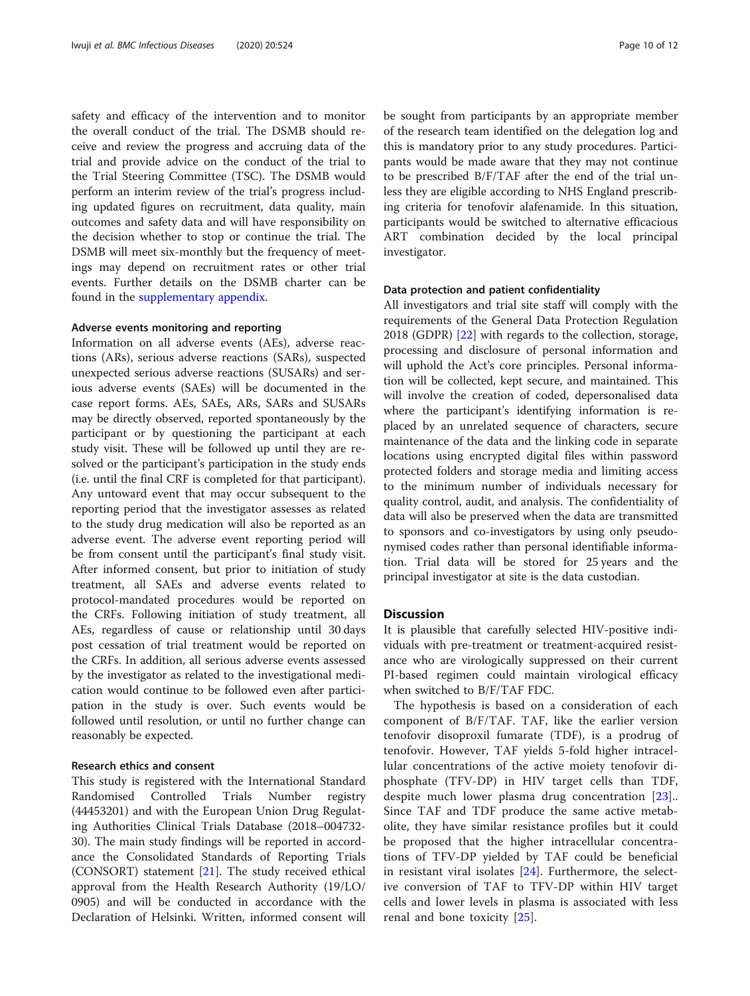safety and efficacy of the intervention and to monitor the overall conduct of the trial. The DSMB should receive and review the progress and accruing data of the trial and provide advice on the conduct of the trial to the Trial Steering Committee (TSC). The DSMB would perform an interim review of the trial's progress including updated figures on recruitment, data quality, main outcomes and safety data and will have responsibility on the decision whether to stop or continue the trial. The DSMB will meet six-monthly but the frequency of meetings may depend on recruitment rates or other trial events. Further details on the DSMB charter can be found in the [supplementary appendix.](#page-10-0)

## Adverse events monitoring and reporting

Information on all adverse events (AEs), adverse reactions (ARs), serious adverse reactions (SARs), suspected unexpected serious adverse reactions (SUSARs) and serious adverse events (SAEs) will be documented in the case report forms. AEs, SAEs, ARs, SARs and SUSARs may be directly observed, reported spontaneously by the participant or by questioning the participant at each study visit. These will be followed up until they are resolved or the participant's participation in the study ends (i.e. until the final CRF is completed for that participant). Any untoward event that may occur subsequent to the reporting period that the investigator assesses as related to the study drug medication will also be reported as an adverse event. The adverse event reporting period will be from consent until the participant's final study visit. After informed consent, but prior to initiation of study treatment, all SAEs and adverse events related to protocol-mandated procedures would be reported on the CRFs. Following initiation of study treatment, all AEs, regardless of cause or relationship until 30 days post cessation of trial treatment would be reported on the CRFs. In addition, all serious adverse events assessed by the investigator as related to the investigational medication would continue to be followed even after participation in the study is over. Such events would be followed until resolution, or until no further change can reasonably be expected.

#### Research ethics and consent

This study is registered with the International Standard Randomised Controlled Trials Number registry (44453201) and with the European Union Drug Regulating Authorities Clinical Trials Database (2018–004732- 30). The main study findings will be reported in accordance the Consolidated Standards of Reporting Trials (CONSORT) statement [\[21](#page-11-0)]. The study received ethical approval from the Health Research Authority (19/LO/ 0905) and will be conducted in accordance with the Declaration of Helsinki. Written, informed consent will be sought from participants by an appropriate member of the research team identified on the delegation log and this is mandatory prior to any study procedures. Participants would be made aware that they may not continue to be prescribed B/F/TAF after the end of the trial unless they are eligible according to NHS England prescribing criteria for tenofovir alafenamide. In this situation, participants would be switched to alternative efficacious ART combination decided by the local principal investigator.

#### Data protection and patient confidentiality

All investigators and trial site staff will comply with the requirements of the General Data Protection Regulation 2018 (GDPR) [[22\]](#page-11-0) with regards to the collection, storage, processing and disclosure of personal information and will uphold the Act's core principles. Personal information will be collected, kept secure, and maintained. This will involve the creation of coded, depersonalised data where the participant's identifying information is replaced by an unrelated sequence of characters, secure maintenance of the data and the linking code in separate locations using encrypted digital files within password protected folders and storage media and limiting access to the minimum number of individuals necessary for quality control, audit, and analysis. The confidentiality of data will also be preserved when the data are transmitted to sponsors and co-investigators by using only pseudonymised codes rather than personal identifiable information. Trial data will be stored for 25 years and the principal investigator at site is the data custodian.

## **Discussion**

It is plausible that carefully selected HIV-positive individuals with pre-treatment or treatment-acquired resistance who are virologically suppressed on their current PI-based regimen could maintain virological efficacy when switched to B/F/TAF FDC.

The hypothesis is based on a consideration of each component of B/F/TAF. TAF, like the earlier version tenofovir disoproxil fumarate (TDF), is a prodrug of tenofovir. However, TAF yields 5-fold higher intracellular concentrations of the active moiety tenofovir diphosphate (TFV-DP) in HIV target cells than TDF, despite much lower plasma drug concentration [[23\]](#page-11-0).. Since TAF and TDF produce the same active metabolite, they have similar resistance profiles but it could be proposed that the higher intracellular concentrations of TFV-DP yielded by TAF could be beneficial in resistant viral isolates  $[24]$  $[24]$ . Furthermore, the selective conversion of TAF to TFV-DP within HIV target cells and lower levels in plasma is associated with less renal and bone toxicity [\[25](#page-11-0)].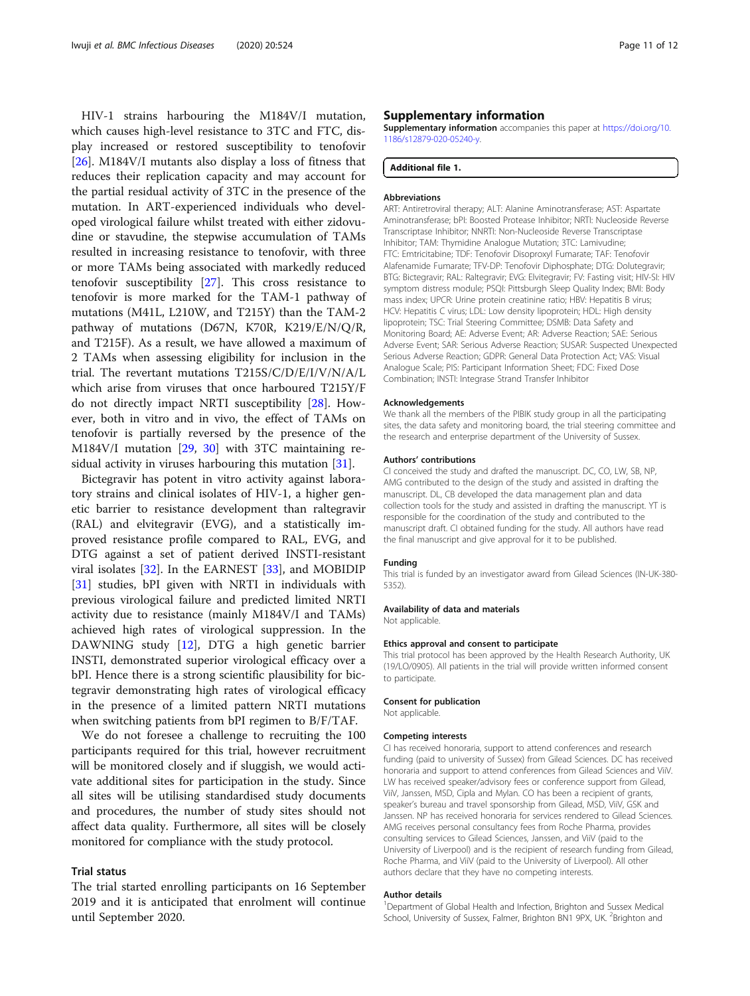<span id="page-10-0"></span>HIV-1 strains harbouring the M184V/I mutation, which causes high-level resistance to 3TC and FTC, display increased or restored susceptibility to tenofovir [[26\]](#page-11-0). M184V/I mutants also display a loss of fitness that reduces their replication capacity and may account for the partial residual activity of 3TC in the presence of the mutation. In ART-experienced individuals who developed virological failure whilst treated with either zidovudine or stavudine, the stepwise accumulation of TAMs resulted in increasing resistance to tenofovir, with three or more TAMs being associated with markedly reduced tenofovir susceptibility [\[27](#page-11-0)]. This cross resistance to tenofovir is more marked for the TAM-1 pathway of mutations (M41L, L210W, and T215Y) than the TAM-2 pathway of mutations (D67N, K70R, K219/E/N/Q/R, and T215F). As a result, we have allowed a maximum of 2 TAMs when assessing eligibility for inclusion in the trial. The revertant mutations T215S/C/D/E/I/V/N/A/L which arise from viruses that once harboured T215Y/F do not directly impact NRTI susceptibility [\[28](#page-11-0)]. However, both in vitro and in vivo, the effect of TAMs on tenofovir is partially reversed by the presence of the M184V/I mutation [[29](#page-11-0), [30](#page-11-0)] with 3TC maintaining re-sidual activity in viruses harbouring this mutation [[31\]](#page-11-0).

Bictegravir has potent in vitro activity against laboratory strains and clinical isolates of HIV-1, a higher genetic barrier to resistance development than raltegravir (RAL) and elvitegravir (EVG), and a statistically improved resistance profile compared to RAL, EVG, and DTG against a set of patient derived INSTI-resistant viral isolates [\[32](#page-11-0)]. In the EARNEST [\[33](#page-11-0)], and MOBIDIP [[31\]](#page-11-0) studies, bPI given with NRTI in individuals with previous virological failure and predicted limited NRTI activity due to resistance (mainly M184V/I and TAMs) achieved high rates of virological suppression. In the DAWNING study [[12\]](#page-11-0), DTG a high genetic barrier INSTI, demonstrated superior virological efficacy over a bPI. Hence there is a strong scientific plausibility for bictegravir demonstrating high rates of virological efficacy in the presence of a limited pattern NRTI mutations when switching patients from bPI regimen to B/F/TAF.

We do not foresee a challenge to recruiting the 100 participants required for this trial, however recruitment will be monitored closely and if sluggish, we would activate additional sites for participation in the study. Since all sites will be utilising standardised study documents and procedures, the number of study sites should not affect data quality. Furthermore, all sites will be closely monitored for compliance with the study protocol.

## Trial status

The trial started enrolling participants on 16 September 2019 and it is anticipated that enrolment will continue until September 2020.

## Supplementary information

Supplementary information accompanies this paper at [https://doi.org/10.](https://doi.org/10.1186/s12879-020-05240-y) [1186/s12879-020-05240-y](https://doi.org/10.1186/s12879-020-05240-y).

#### Additional file 1.

#### Abbreviations

ART: Antiretroviral therapy; ALT: Alanine Aminotransferase; AST: Aspartate Aminotransferase; bPI: Boosted Protease Inhibitor; NRTI: Nucleoside Reverse Transcriptase Inhibitor; NNRTI: Non-Nucleoside Reverse Transcriptase Inhibitor; TAM: Thymidine Analogue Mutation; 3TC: Lamivudine; FTC: Emtricitabine; TDF: Tenofovir Disoproxyl Fumarate; TAF: Tenofovir Alafenamide Fumarate; TFV-DP: Tenofovir Diphosphate; DTG: Dolutegravir; BTG: Bictegravir; RAL: Raltegravir; EVG: Elvitegravir; FV: Fasting visit; HIV-SI: HIV symptom distress module; PSQI: Pittsburgh Sleep Quality Index; BMI: Body mass index; UPCR: Urine protein creatinine ratio; HBV: Hepatitis B virus; HCV: Hepatitis C virus; LDL: Low density lipoprotein; HDL: High density lipoprotein; TSC: Trial Steering Committee; DSMB: Data Safety and Monitoring Board; AE: Adverse Event; AR: Adverse Reaction; SAE: Serious Adverse Event; SAR: Serious Adverse Reaction; SUSAR: Suspected Unexpected Serious Adverse Reaction; GDPR: General Data Protection Act; VAS: Visual Analogue Scale; PIS: Participant Information Sheet; FDC: Fixed Dose Combination; INSTI: Integrase Strand Transfer Inhibitor

#### Acknowledgements

We thank all the members of the PIBIK study group in all the participating sites, the data safety and monitoring board, the trial steering committee and the research and enterprise department of the University of Sussex.

#### Authors' contributions

CI conceived the study and drafted the manuscript. DC, CO, LW, SB, NP, AMG contributed to the design of the study and assisted in drafting the manuscript. DL, CB developed the data management plan and data collection tools for the study and assisted in drafting the manuscript. YT is responsible for the coordination of the study and contributed to the manuscript draft. CI obtained funding for the study. All authors have read the final manuscript and give approval for it to be published.

#### Funding

This trial is funded by an investigator award from Gilead Sciences (IN-UK-380- 5352).

#### Availability of data and materials

Not applicable.

### Ethics approval and consent to participate

This trial protocol has been approved by the Health Research Authority, UK (19/LO/0905). All patients in the trial will provide written informed consent to participate.

#### Consent for publication

Not applicable.

#### Competing interests

CI has received honoraria, support to attend conferences and research funding (paid to university of Sussex) from Gilead Sciences. DC has received honoraria and support to attend conferences from Gilead Sciences and ViiV. LW has received speaker/advisory fees or conference support from Gilead, ViiV, Janssen, MSD, Cipla and Mylan. CO has been a recipient of grants, speaker's bureau and travel sponsorship from Gilead, MSD, ViiV, GSK and Janssen. NP has received honoraria for services rendered to Gilead Sciences. AMG receives personal consultancy fees from Roche Pharma, provides consulting services to Gilead Sciences, Janssen, and ViiV (paid to the University of Liverpool) and is the recipient of research funding from Gilead, Roche Pharma, and ViiV (paid to the University of Liverpool). All other authors declare that they have no competing interests.

#### Author details

<sup>1</sup>Department of Global Health and Infection, Brighton and Sussex Medical School, University of Sussex, Falmer, Brighton BN1 9PX, UK. <sup>2</sup>Brighton and